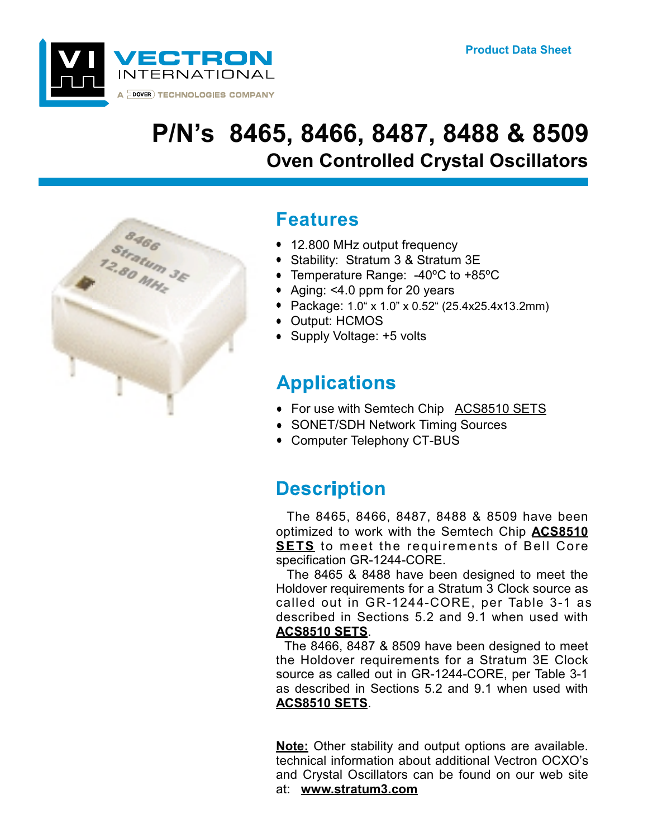

# P/N's 8465, 8466, 8487, 8488 & 8509 **Oven Controlled Crystal Oscillators**



### **Features**

- 12.800 MHz output frequency
- Stability: Stratum 3 & Stratum 3E
- Temperature Range: -40°C to +85°C
- Aging: <4.0 ppm for 20 years
- Package: 1.0" x 1.0" x 0.52" (25.4x25.4x13.2mm)
- Output: HCMOS
- Supply Voltage: +5 volts

## **Applications**

- For use with Semtech Chip ACS8510 SETS
- SONET/SDH Network Timing Sources
- Computer Telephony CT-BUS

### **Description**

The 8465, 8466, 8487, 8488 & 8509 have been optimized to work with the Semtech Chip **ACS8510 SETS** to meet the requirements of Bell Core specification GR-1244-CORE.

The 8465 & 8488 have been designed to meet the Holdover requirements for a Stratum 3 Clock source as called out in GR-1244-CORE, per Table 3-1 as described in Sections 5.2 and 9.1 when used with **ACS8510 SETS.** 

The 8466, 8487 & 8509 have been designed to meet the Holdover requirements for a Stratum 3E Clock source as called out in GR-1244-CORE, per Table 3-1 as described in Sections 5.2 and 9.1 when used with **ACS8510 SETS.** 

**Note:** Other stability and output options are available. technical information about additional Vectron OCXO's and Crystal Oscillators can be found on our web site at: www.stratum3.com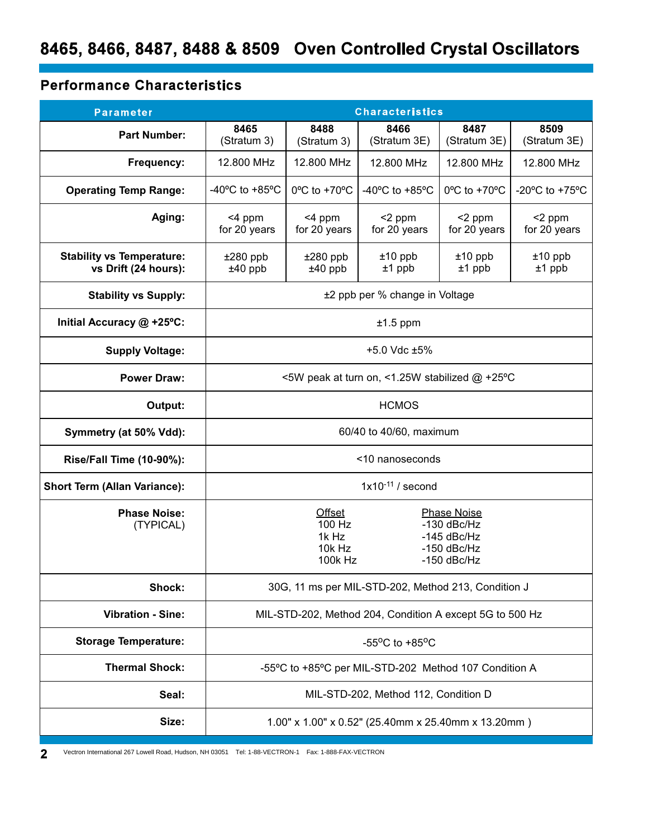### **Performance Characteristics**

| <b>Parameter</b>                                         | <b>Characteristics</b>                                                                                                                            |                                   |                                      |                                   |                                                      |  |
|----------------------------------------------------------|---------------------------------------------------------------------------------------------------------------------------------------------------|-----------------------------------|--------------------------------------|-----------------------------------|------------------------------------------------------|--|
| <b>Part Number:</b>                                      | 8465<br>(Stratum 3)                                                                                                                               | 8488<br>(Stratum 3)               | 8466<br>(Stratum 3E)                 | 8487<br>(Stratum 3E)              | 8509<br>(Stratum 3E)                                 |  |
| Frequency:                                               | 12.800 MHz                                                                                                                                        | 12.800 MHz                        | 12.800 MHz                           | 12.800 MHz                        | 12.800 MHz                                           |  |
| <b>Operating Temp Range:</b>                             | -40 $^{\circ}$ C to +85 $^{\circ}$ C                                                                                                              | $0^{\circ}$ C to +70 $^{\circ}$ C | -40 $^{\circ}$ C to +85 $^{\circ}$ C | $0^{\circ}$ C to +70 $^{\circ}$ C | -20 $\mathrm{^{\circ}C}$ to +75 $\mathrm{^{\circ}C}$ |  |
| Aging:                                                   | <4 ppm<br>for 20 years                                                                                                                            | <4 ppm<br>for 20 years            | <2 ppm<br>for 20 years               | $<$ 2 ppm<br>for 20 years         | <2 ppm<br>for 20 years                               |  |
| <b>Stability vs Temperature:</b><br>vs Drift (24 hours): | $±280$ ppb<br>$±40$ ppb                                                                                                                           | $±280$ ppb<br>$±40$ ppb           | $±10$ ppb<br>$±1$ ppb                | $±10$ ppb<br>$±1$ ppb             | $±10$ ppb<br>$±1$ ppb                                |  |
| <b>Stability vs Supply:</b>                              | ±2 ppb per % change in Voltage                                                                                                                    |                                   |                                      |                                   |                                                      |  |
| Initial Accuracy @ +25°C:                                | $±1.5$ ppm                                                                                                                                        |                                   |                                      |                                   |                                                      |  |
| <b>Supply Voltage:</b>                                   | +5.0 Vdc $±5\%$                                                                                                                                   |                                   |                                      |                                   |                                                      |  |
| <b>Power Draw:</b>                                       | <5W peak at turn on, <1.25W stabilized @ +25°C                                                                                                    |                                   |                                      |                                   |                                                      |  |
| Output:                                                  | <b>HCMOS</b>                                                                                                                                      |                                   |                                      |                                   |                                                      |  |
| Symmetry (at 50% Vdd):                                   | 60/40 to 40/60, maximum                                                                                                                           |                                   |                                      |                                   |                                                      |  |
| <b>Rise/Fall Time (10-90%):</b>                          | <10 nanoseconds                                                                                                                                   |                                   |                                      |                                   |                                                      |  |
| <b>Short Term (Allan Variance):</b>                      | $1x10^{-11}$ / second                                                                                                                             |                                   |                                      |                                   |                                                      |  |
| <b>Phase Noise:</b><br>(TYPICAL)                         | <b>Offset</b><br><b>Phase Noise</b><br>100 Hz<br>$-130$ dBc/Hz<br>1k Hz<br>$-145$ dBc/Hz<br>$10k$ Hz<br>$-150$ dBc/Hz<br>100k Hz<br>$-150$ dBc/Hz |                                   |                                      |                                   |                                                      |  |
| Shock:                                                   | 30G, 11 ms per MIL-STD-202, Method 213, Condition J                                                                                               |                                   |                                      |                                   |                                                      |  |
| <b>Vibration - Sine:</b>                                 | MIL-STD-202, Method 204, Condition A except 5G to 500 Hz                                                                                          |                                   |                                      |                                   |                                                      |  |
| <b>Storage Temperature:</b>                              | -55 $\mathrm{^{\circ}C}$ to +85 $\mathrm{^{\circ}C}$                                                                                              |                                   |                                      |                                   |                                                      |  |
| <b>Thermal Shock:</b>                                    | -55°C to +85°C per MIL-STD-202 Method 107 Condition A                                                                                             |                                   |                                      |                                   |                                                      |  |
| Seal:                                                    | MIL-STD-202, Method 112, Condition D                                                                                                              |                                   |                                      |                                   |                                                      |  |
| Size:                                                    | 1.00" x 1.00" x 0.52" (25.40mm x 25.40mm x 13.20mm)                                                                                               |                                   |                                      |                                   |                                                      |  |

and a state

Vectron International 267 Lowell Road, Hudson, NH 03051 Tel: 1-88-VECTRON-1 Fax: 1-888-FAX-VECTRON  $2<sup>1</sup>$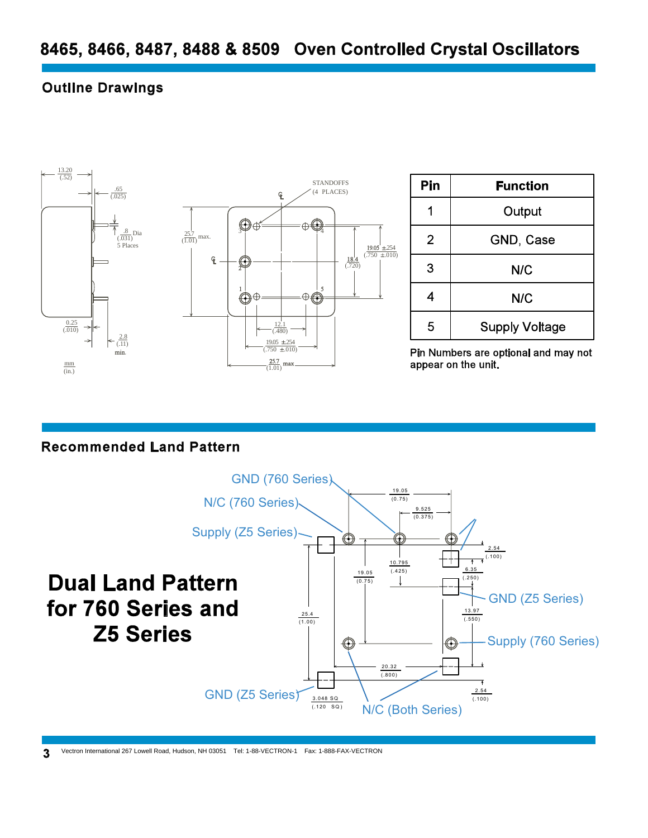#### **Outline Drawings**



| Pin            | <b>Function</b>       |  |  |
|----------------|-----------------------|--|--|
|                | Output                |  |  |
| $\overline{2}$ | GND, Case             |  |  |
| 3              | N/C                   |  |  |
| 4              | <b>N/C</b>            |  |  |
| 5              | <b>Supply Voltage</b> |  |  |

Pin Numbers are optional and may not appear on the unit.

#### **Recommended Land Pattern**